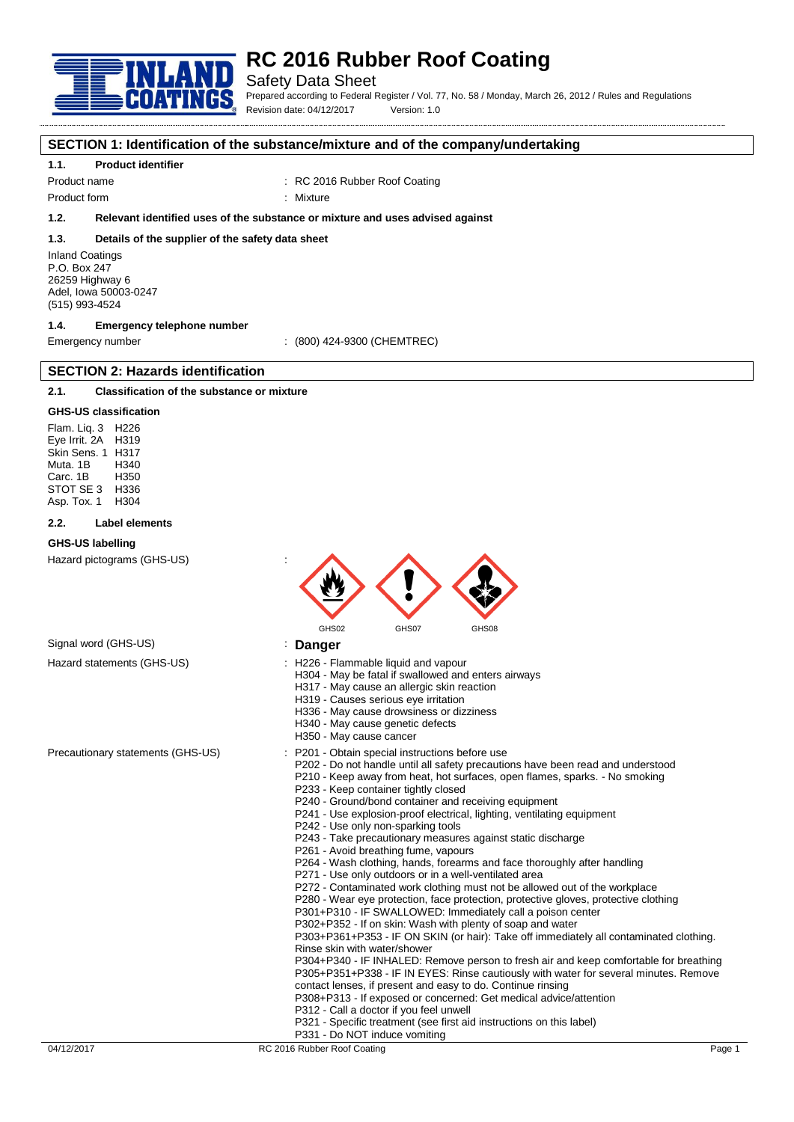

### Safety Data Sheet

Prepared according to Federal Register / Vol. 77, No. 58 / Monday, March 26, 2012 / Rules and Regulations Revision date: 04/12/2017 Version: 1.0

#### **SECTION 1: Identification of the substance/mixture and of the company/undertaking**

#### **1.1. Product identifier**

Product name : RC 2016 Rubber Roof Coating

Product form : Nixture

### **1.2. Relevant identified uses of the substance or mixture and uses advised against**

#### **1.3. Details of the supplier of the safety data sheet**

Inland Coatings P.O. Box 247 26259 Highway 6 Adel, Iowa 50003-0247 (515) 993-4524

### **1.4. Emergency telephone number**

Emergency number : (800) 424-9300 (CHEMTREC)

### **2.1. Classification of the substance or mixture**

**SECTION 2: Hazards identification**

#### **GHS-US classification**

Flam. Liq. 3 H226 Eye Irrit. 2A H319 Skin Sens. 1 H317 Muta. 1B H340 Carc. 1B STOT SE 3 H336<br>Asp Tox 1 H304 Asp. Tox. 1

#### **2.2. Label elements**

#### **GHS-US labelling**

Hazard pictograms (GHS-US) :



# Signal word (GHS-US) **in the State of State State State State State State State State State State State State State State State State State State State State State State State State State State State State State State Stat**

- Hazard statements (GHS-US) : H226 Flammable liquid and vapour
	- H304 May be fatal if swallowed and enters airways
		- H317 May cause an allergic skin reaction
		- H319 Causes serious eye irritation
		- H336 May cause drowsiness or dizziness
		- H340 May cause genetic defects
		- H350 May cause cancer
- Precautionary statements (GHS-US) : P201 Obtain special instructions before use
	- P202 Do not handle until all safety precautions have been read and understood
	- P210 Keep away from heat, hot surfaces, open flames, sparks. No smoking P233 - Keep container tightly closed
	- P240 Ground/bond container and receiving equipment
	- P241 Use explosion-proof electrical, lighting, ventilating equipment
	- P242 Use only non-sparking tools
	- P243 Take precautionary measures against static discharge
	- P261 Avoid breathing fume, vapours
	- P264 Wash clothing, hands, forearms and face thoroughly after handling
	- P271 Use only outdoors or in a well-ventilated area
	- P272 Contaminated work clothing must not be allowed out of the workplace
	- P280 Wear eye protection, face protection, protective gloves, protective clothing
	- P301+P310 IF SWALLOWED: Immediately call a poison center
	- P302+P352 If on skin: Wash with plenty of soap and water

P303+P361+P353 - IF ON SKIN (or hair): Take off immediately all contaminated clothing. Rinse skin with water/shower

P304+P340 - IF INHALED: Remove person to fresh air and keep comfortable for breathing P305+P351+P338 - IF IN EYES: Rinse cautiously with water for several minutes. Remove contact lenses, if present and easy to do. Continue rinsing

- P308+P313 If exposed or concerned: Get medical advice/attention
- P312 Call a doctor if you feel unwell
- P321 Specific treatment (see first aid instructions on this label)
- P331 Do NOT induce vomiting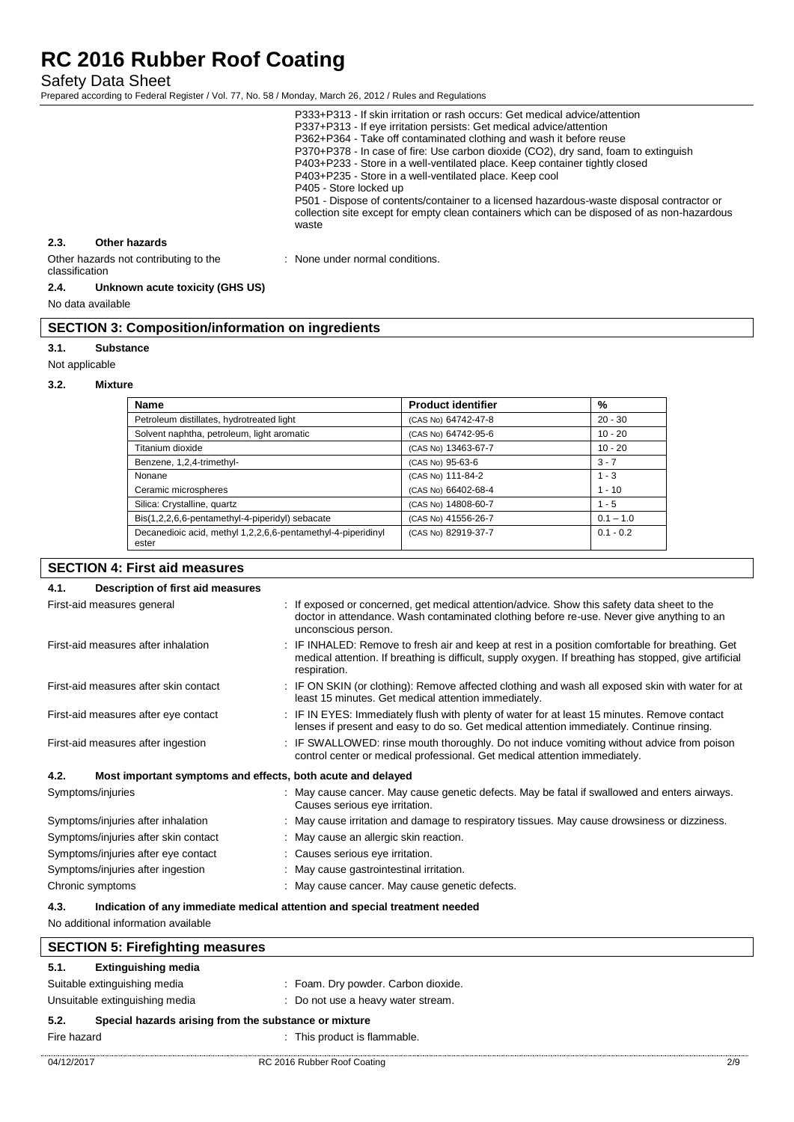Safety Data Sheet

Prepared according to Federal Register / Vol. 77, No. 58 / Monday, March 26, 2012 / Rules and Regulations

|                                                         |               | P333+P313 - If skin irritation or rash occurs: Get medical advice/attention<br>P337+P313 - If eye irritation persists: Get medical advice/attention<br>P362+P364 - Take off contaminated clothing and wash it before reuse<br>P370+P378 - In case of fire: Use carbon dioxide (CO2), dry sand, foam to extinguish<br>P403+P233 - Store in a well-ventilated place. Keep container tightly closed<br>P403+P235 - Store in a well-ventilated place. Keep cool<br>P405 - Store locked up<br>P501 - Dispose of contents/container to a licensed hazardous-waste disposal contractor or<br>collection site except for empty clean containers which can be disposed of as non-hazardous<br>waste |
|---------------------------------------------------------|---------------|--------------------------------------------------------------------------------------------------------------------------------------------------------------------------------------------------------------------------------------------------------------------------------------------------------------------------------------------------------------------------------------------------------------------------------------------------------------------------------------------------------------------------------------------------------------------------------------------------------------------------------------------------------------------------------------------|
| 2.3.                                                    | Other hazards |                                                                                                                                                                                                                                                                                                                                                                                                                                                                                                                                                                                                                                                                                            |
| Other hazards not contributing to the<br>classification |               | : None under normal conditions.                                                                                                                                                                                                                                                                                                                                                                                                                                                                                                                                                                                                                                                            |

#### **2.4. Unknown acute toxicity (GHS US)**

No data available

### **SECTION 3: Composition/information on ingredients**

#### **3.1. Substance**

Not applicable

#### **3.2. Mixture**

| <b>Name</b>                                                           | <b>Product identifier</b> | %           |
|-----------------------------------------------------------------------|---------------------------|-------------|
| Petroleum distillates, hydrotreated light                             | (CAS No) 64742-47-8       | $20 - 30$   |
| Solvent naphtha, petroleum, light aromatic                            | (CAS No) 64742-95-6       | $10 - 20$   |
| Titanium dioxide                                                      | (CAS No) 13463-67-7       | $10 - 20$   |
| Benzene, 1,2,4-trimethyl-                                             | (CAS No) 95-63-6          | $3 - 7$     |
| Nonane                                                                | (CAS No) 111-84-2         | $1 - 3$     |
| Ceramic microspheres                                                  | (CAS No) 66402-68-4       | $1 - 10$    |
| Silica: Crystalline, quartz                                           | (CAS No) 14808-60-7       | $1 - 5$     |
| Bis(1,2,2,6,6-pentamethyl-4-piperidyl) sebacate                       | (CAS No) 41556-26-7       | $0.1 - 1.0$ |
| Decanedioic acid, methyl 1,2,2,6,6-pentamethyl-4-piperidinyl<br>ester | (CAS No) 82919-37-7       | $0.1 - 0.2$ |

# **SECTION 4: First aid measures**

| : If exposed or concerned, get medical attention/advice. Show this safety data sheet to the<br>First-aid measures general<br>doctor in attendance. Wash contaminated clothing before re-use. Never give anything to an<br>unconscious person.<br>First-aid measures after inhalation<br>IF INHALED: Remove to fresh air and keep at rest in a position comfortable for breathing. Get<br>medical attention. If breathing is difficult, supply oxygen. If breathing has stopped, give artificial<br>respiration.<br>: IF ON SKIN (or clothing): Remove affected clothing and wash all exposed skin with water for at<br>First-aid measures after skin contact<br>least 15 minutes. Get medical attention immediately.<br>First-aid measures after eye contact<br>: IF IN EYES: Immediately flush with plenty of water for at least 15 minutes. Remove contact |  |
|--------------------------------------------------------------------------------------------------------------------------------------------------------------------------------------------------------------------------------------------------------------------------------------------------------------------------------------------------------------------------------------------------------------------------------------------------------------------------------------------------------------------------------------------------------------------------------------------------------------------------------------------------------------------------------------------------------------------------------------------------------------------------------------------------------------------------------------------------------------|--|
|                                                                                                                                                                                                                                                                                                                                                                                                                                                                                                                                                                                                                                                                                                                                                                                                                                                              |  |
|                                                                                                                                                                                                                                                                                                                                                                                                                                                                                                                                                                                                                                                                                                                                                                                                                                                              |  |
|                                                                                                                                                                                                                                                                                                                                                                                                                                                                                                                                                                                                                                                                                                                                                                                                                                                              |  |
| lenses if present and easy to do so. Get medical attention immediately. Continue rinsing.                                                                                                                                                                                                                                                                                                                                                                                                                                                                                                                                                                                                                                                                                                                                                                    |  |
| : IF SWALLOWED: rinse mouth thoroughly. Do not induce vomiting without advice from poison<br>First-aid measures after ingestion<br>control center or medical professional. Get medical attention immediately.                                                                                                                                                                                                                                                                                                                                                                                                                                                                                                                                                                                                                                                |  |
| Most important symptoms and effects, both acute and delayed<br>4.2.                                                                                                                                                                                                                                                                                                                                                                                                                                                                                                                                                                                                                                                                                                                                                                                          |  |
| Symptoms/injuries<br>: May cause cancer. May cause genetic defects. May be fatal if swallowed and enters airways.<br>Causes serious eye irritation.                                                                                                                                                                                                                                                                                                                                                                                                                                                                                                                                                                                                                                                                                                          |  |
| : May cause irritation and damage to respiratory tissues. May cause drowsiness or dizziness.<br>Symptoms/injuries after inhalation                                                                                                                                                                                                                                                                                                                                                                                                                                                                                                                                                                                                                                                                                                                           |  |
| : May cause an allergic skin reaction.<br>Symptoms/injuries after skin contact                                                                                                                                                                                                                                                                                                                                                                                                                                                                                                                                                                                                                                                                                                                                                                               |  |
| Symptoms/injuries after eye contact<br>: Causes serious eye irritation.                                                                                                                                                                                                                                                                                                                                                                                                                                                                                                                                                                                                                                                                                                                                                                                      |  |
| Symptoms/injuries after ingestion<br>: May cause gastrointestinal irritation.                                                                                                                                                                                                                                                                                                                                                                                                                                                                                                                                                                                                                                                                                                                                                                                |  |
| : May cause cancer. May cause genetic defects.<br>Chronic symptoms                                                                                                                                                                                                                                                                                                                                                                                                                                                                                                                                                                                                                                                                                                                                                                                           |  |
| Indication of any immediate medical attention and special treatment needed<br>4.3.<br>No additional information available                                                                                                                                                                                                                                                                                                                                                                                                                                                                                                                                                                                                                                                                                                                                    |  |

| <b>SECTION 5: Firefighting measures</b>                       |                                     |  |  |
|---------------------------------------------------------------|-------------------------------------|--|--|
| <b>Extinguishing media</b><br>5.1.                            |                                     |  |  |
| Suitable extinguishing media                                  | : Foam. Dry powder. Carbon dioxide. |  |  |
| Unsuitable extinguishing media                                | : Do not use a heavy water stream.  |  |  |
| Special hazards arising from the substance or mixture<br>5.2. |                                     |  |  |
| Fire hazard                                                   | : This product is flammable.        |  |  |
|                                                               |                                     |  |  |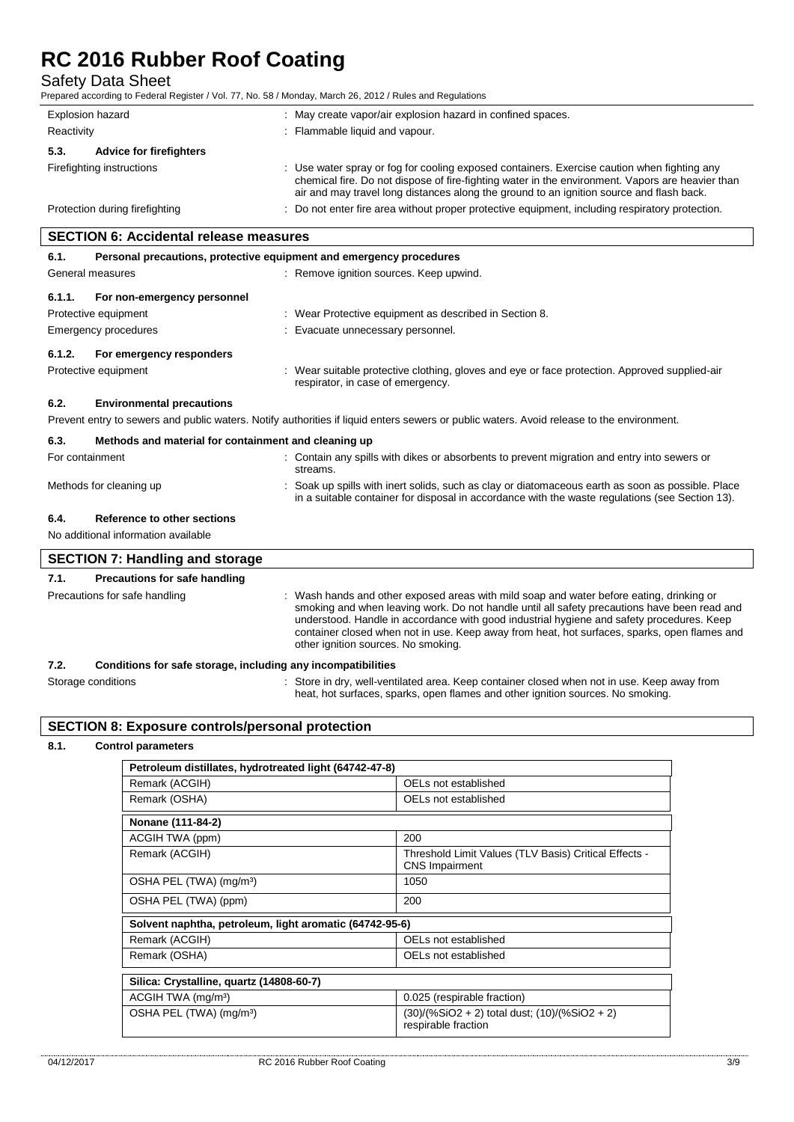# Safety Data Sheet

Prepared according to Federal Register / Vol. 77, No. 58 / Monday, March 26, 2012 / Rules and Regulations

| Explosion hazard                       |  | : May create vapor/air explosion hazard in confined spaces.                                                                                                                                                                                                                                 |  |
|----------------------------------------|--|---------------------------------------------------------------------------------------------------------------------------------------------------------------------------------------------------------------------------------------------------------------------------------------------|--|
| Reactivity                             |  | : Flammable liquid and vapour.                                                                                                                                                                                                                                                              |  |
| <b>Advice for firefighters</b><br>5.3. |  |                                                                                                                                                                                                                                                                                             |  |
| Firefighting instructions              |  | : Use water spray or fog for cooling exposed containers. Exercise caution when fighting any<br>chemical fire. Do not dispose of fire-fighting water in the environment. Vapors are heavier than<br>air and may travel long distances along the ground to an ignition source and flash back. |  |
| Protection during firefighting         |  | : Do not enter fire area without proper protective equipment, including respiratory protection.                                                                                                                                                                                             |  |

# **SECTION 6: Accidental release measures**

# **6.1. Personal precautions, protective equipment and emergency procedures** General measures **in the state of the state of the state of the state of the Second** Seneral measures **6.1.1. For non-emergency personnel** Protective equipment **in the contract of the COV** Mean Protective equipment as described in Section 8. Emergency procedures **in the contract of the Contract Evacuate unnecessary personnel. 6.1.2. For emergency responders** Protective equipment **interval of the suitable protective clothing**, gloves and eye or face protection. Approved supplied-air respirator, in case of emergency. **6.2. Environmental precautions** Prevent entry to sewers and public waters. Notify authorities if liquid enters sewers or public waters. Avoid release to the environment. **6.3. Methods and material for containment and cleaning up** For containment **into a series in the Contain any spills with dikes or absorbents to prevent migration and entry into sewers or** streams. Methods for cleaning up **interpret in the spills** with inert solids, such as clay or diatomaceous earth as soon as possible. Place in a suitable container for disposal in accordance with the waste regulations (see Section 13). **6.4. Reference to other sections** No additional information available **SECTION 7: Handling and storage**

| 7.1. | <b>Precautions for safe handling</b>                         |                                                                                                                                                                                                                                                                                                                                                                                                                            |
|------|--------------------------------------------------------------|----------------------------------------------------------------------------------------------------------------------------------------------------------------------------------------------------------------------------------------------------------------------------------------------------------------------------------------------------------------------------------------------------------------------------|
|      | Precautions for safe handling                                | Wash hands and other exposed areas with mild soap and water before eating, drinking or<br>smoking and when leaving work. Do not handle until all safety precautions have been read and<br>understood. Handle in accordance with good industrial hygiene and safety procedures. Keep<br>container closed when not in use. Keep away from heat, hot surfaces, sparks, open flames and<br>other ignition sources. No smoking. |
| 7.2. | Conditions for safe storage, including any incompatibilities |                                                                                                                                                                                                                                                                                                                                                                                                                            |

| 1.Z.               | Conditions for safe storage, including any incompatibilities                              |
|--------------------|-------------------------------------------------------------------------------------------|
| Storage conditions | Store in dry, well-ventilated area. Keep container closed when not in use. Keep away from |
|                    | heat, hot surfaces, sparks, open flames and other ignition sources. No smoking.           |

### **SECTION 8: Exposure controls/personal protection**

#### **8.1. Control parameters**

| Petroleum distillates, hydrotreated light (64742-47-8)  |                                                                                |  |  |
|---------------------------------------------------------|--------------------------------------------------------------------------------|--|--|
| Remark (ACGIH)                                          | OELs not established                                                           |  |  |
| Remark (OSHA)                                           | OELs not established                                                           |  |  |
| Nonane (111-84-2)                                       |                                                                                |  |  |
| ACGIH TWA (ppm)                                         | 200                                                                            |  |  |
| Remark (ACGIH)                                          | Threshold Limit Values (TLV Basis) Critical Effects -<br><b>CNS Impairment</b> |  |  |
| OSHA PEL (TWA) (mg/m <sup>3</sup> )                     | 1050                                                                           |  |  |
| OSHA PEL (TWA) (ppm)                                    | 200                                                                            |  |  |
| Solvent naphtha, petroleum, light aromatic (64742-95-6) |                                                                                |  |  |
| Remark (ACGIH)                                          | OELs not established                                                           |  |  |
| Remark (OSHA)                                           | OELs not established                                                           |  |  |
| Silica: Crystalline, quartz (14808-60-7)                |                                                                                |  |  |
| ACGIH TWA (mg/m <sup>3</sup> )                          | 0.025 (respirable fraction)                                                    |  |  |
| OSHA PEL (TWA) (mg/m <sup>3</sup> )                     | (30)/(%SiO2 + 2) total dust; (10)/(%SiO2 + 2)<br>respirable fraction           |  |  |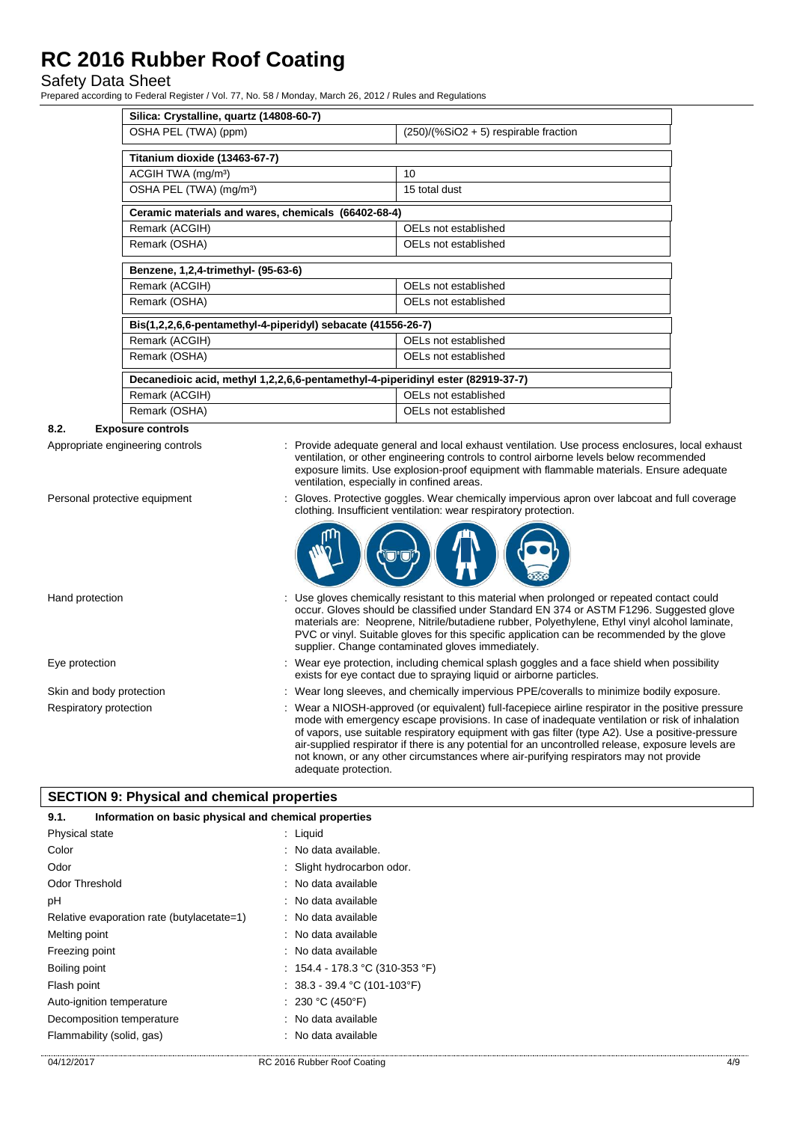# Safety Data Sheet

Prepared according to Federal Register / Vol. 77, No. 58 / Monday, March 26, 2012 / Rules and Regulations

| Silica: Crystalline, quartz (14808-60-7)                                        |                                         |  |  |
|---------------------------------------------------------------------------------|-----------------------------------------|--|--|
| OSHA PEL (TWA) (ppm)                                                            | $(250)/(%SiO2 + 5)$ respirable fraction |  |  |
| Titanium dioxide (13463-67-7)                                                   |                                         |  |  |
| ACGIH TWA (mg/m <sup>3</sup> )                                                  | 10                                      |  |  |
| OSHA PEL (TWA) (mg/m <sup>3</sup> )                                             | 15 total dust                           |  |  |
| Ceramic materials and wares, chemicals (66402-68-4)                             |                                         |  |  |
| Remark (ACGIH)                                                                  | OELs not established                    |  |  |
| Remark (OSHA)                                                                   | OELs not established                    |  |  |
| Benzene, 1,2,4-trimethyl- (95-63-6)                                             |                                         |  |  |
| Remark (ACGIH)                                                                  | OELs not established                    |  |  |
| Remark (OSHA)                                                                   | OFI s not established                   |  |  |
| Bis(1,2,2,6,6-pentamethyl-4-piperidyl) sebacate (41556-26-7)                    |                                         |  |  |
| Remark (ACGIH)                                                                  | OELs not established                    |  |  |
| Remark (OSHA)                                                                   | OELs not established                    |  |  |
| Decanedioic acid, methyl 1,2,2,6,6-pentamethyl-4-piperidinyl ester (82919-37-7) |                                         |  |  |
| Remark (ACGIH)                                                                  | OELs not established                    |  |  |
| Remark (OSHA)                                                                   | OELs not established                    |  |  |

#### **8.2. Exposure controls**

Appropriate engineering controls : Provide adequate general and local exhaust ventilation. Use process enclosures, local exhaust ventilation, or other engineering controls to control airborne levels below recommended exposure limits. Use explosion-proof equipment with flammable materials. Ensure adequate ventilation, especially in confined areas.

Personal protective equipment : Gloves. Protective goggles. Wear chemically impervious apron over labcoat and full coverage clothing. Insufficient ventilation: wear respiratory protection.



- Hand protection **interval of the USE gloves chemically resistant to this material when prolonged or repeated contact could** occur. Gloves should be classified under Standard EN 374 or ASTM F1296. Suggested glove materials are: Neoprene, Nitrile/butadiene rubber, Polyethylene, Ethyl vinyl alcohol laminate, PVC or vinyl. Suitable gloves for this specific application can be recommended by the glove supplier. Change contaminated gloves immediately.
- Eye protection **including the state of the system** of the Wear eye protection, including chemical splash goggles and a face shield when possibility exists for eye contact due to spraying liquid or airborne particles.
- Skin and body protection : Wear long sleeves, and chemically impervious PPE/coveralls to minimize bodily exposure.
- Respiratory protection : Wear a NIOSH-approved (or equivalent) full-facepiece airline respirator in the positive pressure mode with emergency escape provisions. In case of inadequate ventilation or risk of inhalation of vapors, use suitable respiratory equipment with gas filter (type A2). Use a positive-pressure air-supplied respirator if there is any potential for an uncontrolled release, exposure levels are not known, or any other circumstances where air-purifying respirators may not provide adequate protection.

### **SECTION 9: Physical and chemical properties**

| Information on basic physical and chemical properties<br>9.1. |                                   |  |
|---------------------------------------------------------------|-----------------------------------|--|
| Physical state                                                | $:$ Liquid                        |  |
| Color                                                         | : No data available.              |  |
| Odor                                                          | : Slight hydrocarbon odor.        |  |
| <b>Odor Threshold</b>                                         | : No data available               |  |
| рH                                                            | : No data available               |  |
| Relative evaporation rate (butylacetate=1)                    | : No data available               |  |
| Melting point                                                 | : No data available               |  |
| Freezing point                                                | : No data available               |  |
| Boiling point                                                 | : $154.4 - 178.3$ °C (310-353 °F) |  |
| Flash point                                                   | : $38.3 - 39.4$ °C (101-103°F)    |  |
| Auto-ignition temperature                                     | : 230 °C (450°F)                  |  |
| Decomposition temperature                                     | : No data available               |  |
| Flammability (solid, gas)                                     | : No data available               |  |
|                                                               |                                   |  |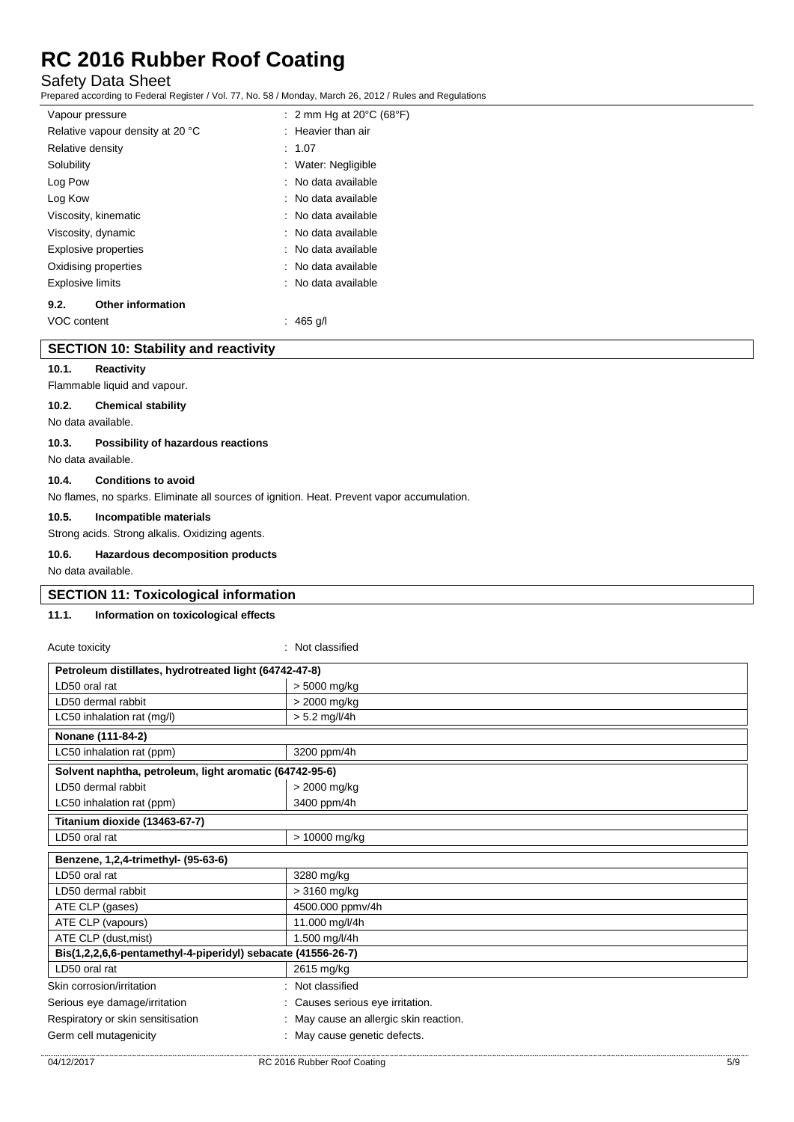# Safety Data Sheet

Prepared according to Federal Register / Vol. 77, No. 58 / Monday, March 26, 2012 / Rules and Regulations

| Vapour pressure                  | : 2 mm Hg at 20 $\degree$ C (68 $\degree$ F) |
|----------------------------------|----------------------------------------------|
| Relative vapour density at 20 °C | $:$ Heavier than air                         |
| Relative density                 | : 1.07                                       |
| Solubility                       | Water: Negligible                            |
| Log Pow                          | $\therefore$ No data available               |
| Log Kow                          | $\therefore$ No data available               |
| Viscosity, kinematic             | : No data available                          |
| Viscosity, dynamic               | : No data available                          |
| Explosive properties             | : No data available                          |
| Oxidising properties             | : No data available                          |
| <b>Explosive limits</b>          | : No data available                          |
| <b>Other information</b><br>9.2. |                                              |

#### VOC content : 465 g/l

# **SECTION 10: Stability and reactivity**

**10.1. Reactivity**

# Flammable liquid and vapour.

#### **10.2. Chemical stability**

No data available.

#### **10.3. Possibility of hazardous reactions**

No data available.

#### **10.4. Conditions to avoid**

No flames, no sparks. Eliminate all sources of ignition. Heat. Prevent vapor accumulation.

#### **10.5. Incompatible materials**

Strong acids. Strong alkalis. Oxidizing agents.

#### **10.6. Hazardous decomposition products**

No data available.

### **SECTION 11: Toxicological information**

#### **11.1. Information on toxicological effects**

### Acute toxicity **in the case of the contract of the case of the contract of the contract of the contract of the contract of the contract of the contract of the contract of the contract of the contract of the contract of the**

| Petroleum distillates, hydrotreated light (64742-47-8)       |                                      |  |  |
|--------------------------------------------------------------|--------------------------------------|--|--|
| LD50 oral rat                                                | > 5000 mg/kg                         |  |  |
| LD50 dermal rabbit                                           | > 2000 mg/kg                         |  |  |
| LC50 inhalation rat (mg/l)                                   | $> 5.2$ mg/l/4h                      |  |  |
| Nonane (111-84-2)                                            |                                      |  |  |
| LC50 inhalation rat (ppm)                                    | 3200 ppm/4h                          |  |  |
| Solvent naphtha, petroleum, light aromatic (64742-95-6)      |                                      |  |  |
| LD50 dermal rabbit                                           | > 2000 mg/kg                         |  |  |
| LC50 inhalation rat (ppm)                                    | 3400 ppm/4h                          |  |  |
| Titanium dioxide (13463-67-7)                                |                                      |  |  |
| LD50 oral rat                                                | > 10000 mg/kg                        |  |  |
| Benzene, 1,2,4-trimethyl- (95-63-6)                          |                                      |  |  |
| LD50 oral rat                                                | 3280 mg/kg                           |  |  |
| LD50 dermal rabbit                                           | $>3160$ mg/kg                        |  |  |
| ATE CLP (gases)                                              | 4500.000 ppmv/4h                     |  |  |
| ATE CLP (vapours)                                            | 11.000 mg/l/4h                       |  |  |
| ATE CLP (dust, mist)                                         | 1.500 mg/l/4h                        |  |  |
| Bis(1,2,2,6,6-pentamethyl-4-piperidyl) sebacate (41556-26-7) |                                      |  |  |
| LD50 oral rat                                                | 2615 mg/kg                           |  |  |
| Skin corrosion/irritation                                    | Not classified                       |  |  |
| Serious eye damage/irritation                                | Causes serious eye irritation.       |  |  |
| Respiratory or skin sensitisation                            | May cause an allergic skin reaction. |  |  |
| Germ cell mutagenicity                                       | May cause genetic defects.           |  |  |
|                                                              |                                      |  |  |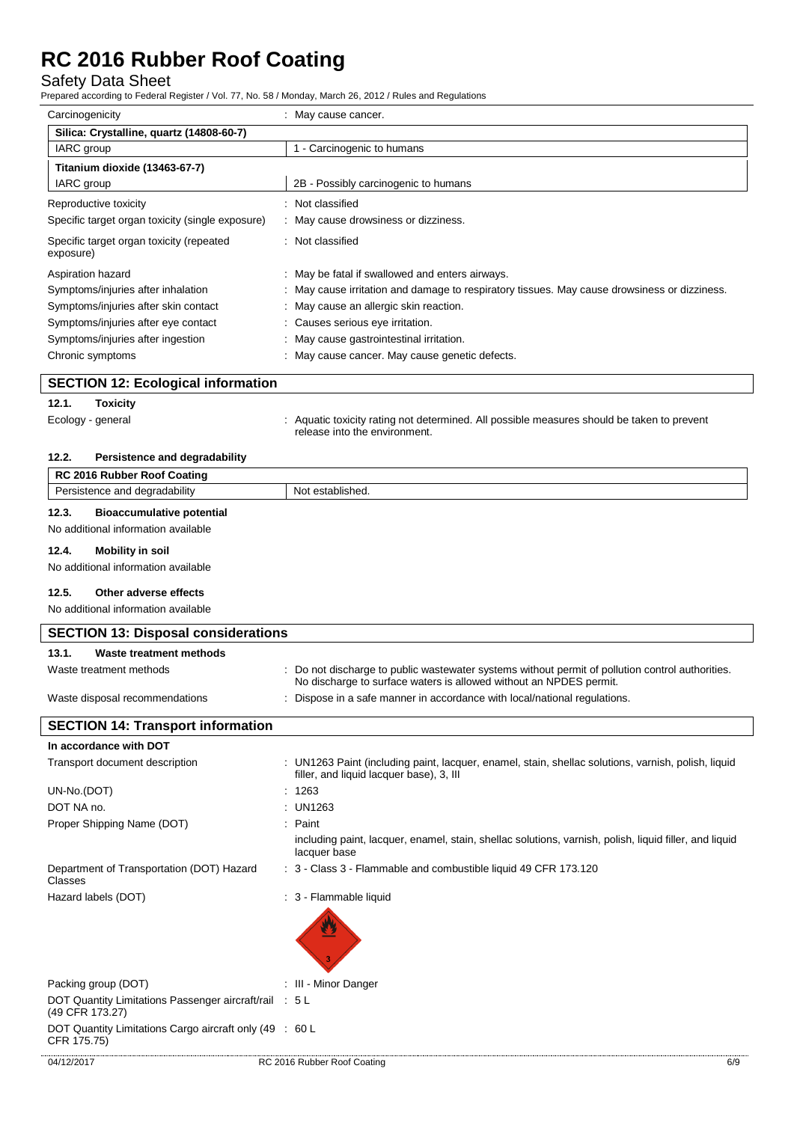# Safety Data Sheet

Prepared according to Federal Register / Vol. 77, No. 58 / Monday, March 26, 2012 / Rules and Regulations

| Carcinogenicity                                       | : May cause cancer.                                                                          |  |
|-------------------------------------------------------|----------------------------------------------------------------------------------------------|--|
| Silica: Crystalline, quartz (14808-60-7)              |                                                                                              |  |
| 1 - Carcinogenic to humans<br>IARC group              |                                                                                              |  |
| Titanium dioxide (13463-67-7)                         |                                                                                              |  |
| IARC group                                            | 2B - Possibly carcinogenic to humans                                                         |  |
| Reproductive toxicity                                 | : Not classified                                                                             |  |
| Specific target organ toxicity (single exposure)      | : May cause drowsiness or dizziness.                                                         |  |
| Specific target organ toxicity (repeated<br>exposure) | : Not classified                                                                             |  |
| Aspiration hazard                                     | : May be fatal if swallowed and enters airways.                                              |  |
| Symptoms/injuries after inhalation                    | : May cause irritation and damage to respiratory tissues. May cause drowsiness or dizziness. |  |
| Symptoms/injuries after skin contact                  | : May cause an allergic skin reaction.                                                       |  |
| Symptoms/injuries after eye contact                   | : Causes serious eye irritation.                                                             |  |
| Symptoms/injuries after ingestion                     | : May cause gastrointestinal irritation.                                                     |  |
| Chronic symptoms                                      | : May cause cancer. May cause genetic defects.                                               |  |

| <b>SECTION 12: Ecological information</b> |  |
|-------------------------------------------|--|
|                                           |  |

### **12.1. Toxicity**

Ecology - general states of the state of the state of the state of the state of the state of prevent to prevent release into the environment.

# **12.2. Persistence and degradability**

|       | <b>RC 2016 Rubber Roof Coating</b>         |                                                                                                                                                                        |
|-------|--------------------------------------------|------------------------------------------------------------------------------------------------------------------------------------------------------------------------|
|       | Persistence and degradability              | Not established.                                                                                                                                                       |
| 12.3. | <b>Bioaccumulative potential</b>           |                                                                                                                                                                        |
|       | No additional information available        |                                                                                                                                                                        |
| 12.4. | Mobility in soil                           |                                                                                                                                                                        |
|       | No additional information available        |                                                                                                                                                                        |
| 12.5. | Other adverse effects                      |                                                                                                                                                                        |
|       | No additional information available        |                                                                                                                                                                        |
|       | <b>SECTION 13: Disposal considerations</b> |                                                                                                                                                                        |
| 13.1. | Waste treatment methods                    |                                                                                                                                                                        |
|       | Waste treatment methods                    | : Do not discharge to public wastewater systems without permit of pollution control authorities.<br>No discharge to surface waters is allowed without an NPDES permit. |
|       | Waste disposal recommendations             | : Dispose in a safe manner in accordance with local/national regulations.                                                                                              |

| <b>SECTION 14: Transport information</b>                                  |                                                                                                                                                 |
|---------------------------------------------------------------------------|-------------------------------------------------------------------------------------------------------------------------------------------------|
| In accordance with DOT                                                    |                                                                                                                                                 |
| Transport document description                                            | : UN1263 Paint (including paint, lacquer, enamel, stain, shellac solutions, varnish, polish, liquid<br>filler, and liquid lacquer base), 3, III |
| UN-No.(DOT)                                                               | : 1263                                                                                                                                          |
| DOT NA no.                                                                | : UN1263                                                                                                                                        |
| Proper Shipping Name (DOT)                                                | : Paint                                                                                                                                         |
|                                                                           | including paint, lacquer, enamel, stain, shellac solutions, varnish, polish, liquid filler, and liquid<br>lacquer base                          |
| Department of Transportation (DOT) Hazard<br>Classes                      | : 3 - Class 3 - Flammable and combustible liquid 49 CFR 173.120                                                                                 |
| Hazard labels (DOT)                                                       | : 3 - Flammable liquid                                                                                                                          |
| Packing group (DOT)                                                       | : III - Minor Danger                                                                                                                            |
| DOT Quantity Limitations Passenger aircraft/rail : 5 L<br>(49 CFR 173.27) |                                                                                                                                                 |
| DOT Quantity Limitations Cargo aircraft only (49 : 60 L<br>CFR 175.75)    |                                                                                                                                                 |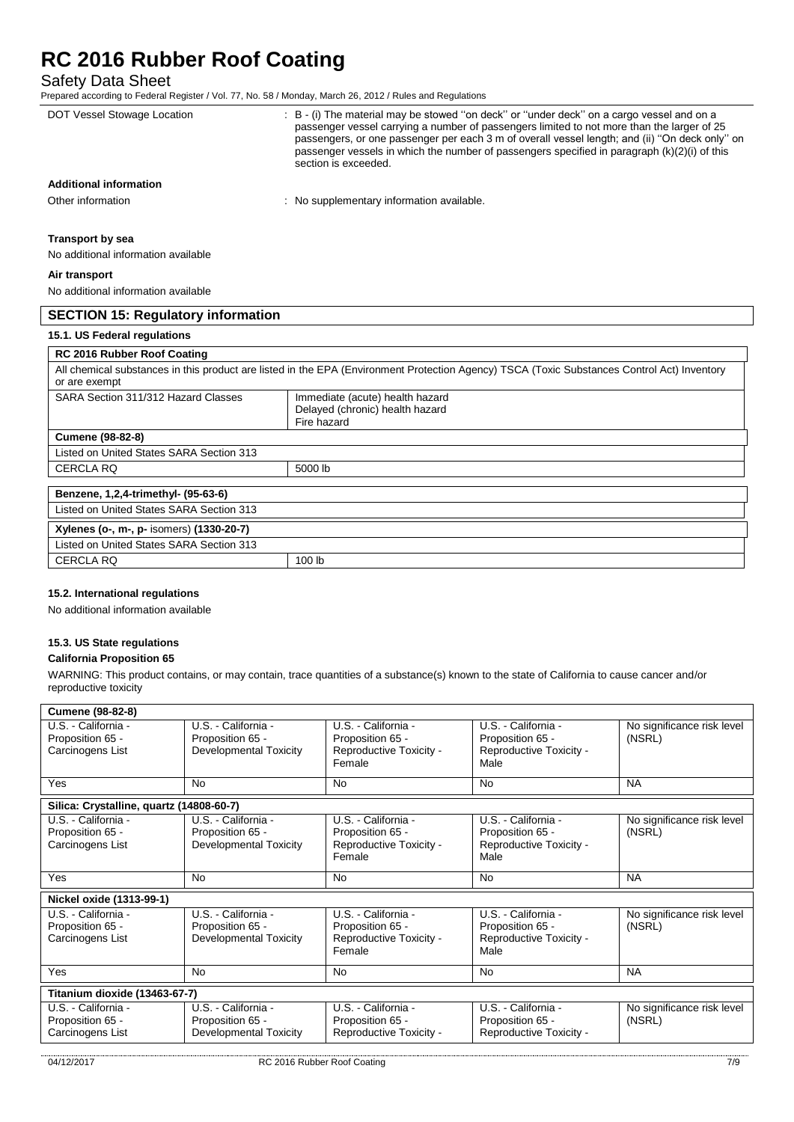Safety Data Sheet

| DOT Vessel Stowage Location               | : B - (i) The material may be stowed "on deck" or "under deck" on a cargo vessel and on a<br>passenger vessel carrying a number of passengers limited to not more than the larger of 25<br>passengers, or one passenger per each 3 m of overall vessel length; and (ii) "On deck only" on<br>passenger vessels in which the number of passengers specified in paragraph (k)(2)(i) of this<br>section is exceeded. |
|-------------------------------------------|-------------------------------------------------------------------------------------------------------------------------------------------------------------------------------------------------------------------------------------------------------------------------------------------------------------------------------------------------------------------------------------------------------------------|
| <b>Additional information</b>             |                                                                                                                                                                                                                                                                                                                                                                                                                   |
| Other information                         | : No supplementary information available.                                                                                                                                                                                                                                                                                                                                                                         |
| Transport by sea                          |                                                                                                                                                                                                                                                                                                                                                                                                                   |
| No additional information available       |                                                                                                                                                                                                                                                                                                                                                                                                                   |
| Air transport                             |                                                                                                                                                                                                                                                                                                                                                                                                                   |
| No additional information available       |                                                                                                                                                                                                                                                                                                                                                                                                                   |
| <b>SECTION 15: Regulatory information</b> |                                                                                                                                                                                                                                                                                                                                                                                                                   |
| 15.1. US Federal regulations              |                                                                                                                                                                                                                                                                                                                                                                                                                   |
| <b>RC 2016 Rubber Roof Coating</b>        |                                                                                                                                                                                                                                                                                                                                                                                                                   |
| or are exempt                             | All chemical substances in this product are listed in the EPA (Environment Protection Agency) TSCA (Toxic Substances Control Act) Inventory                                                                                                                                                                                                                                                                       |
| SARA Section 311/312 Hazard Classes       | Immediate (acute) health hazard<br>Delayed (chronic) health hazard<br>Fire hazard                                                                                                                                                                                                                                                                                                                                 |
| <b>Cumene (98-82-8)</b>                   |                                                                                                                                                                                                                                                                                                                                                                                                                   |
| Listed on United States SARA Section 313  |                                                                                                                                                                                                                                                                                                                                                                                                                   |
| <b>CERCLA RQ</b>                          | 5000 lb                                                                                                                                                                                                                                                                                                                                                                                                           |
| Benzene, 1,2,4-trimethyl- (95-63-6)       |                                                                                                                                                                                                                                                                                                                                                                                                                   |
| Listed on United States SARA Section 313  |                                                                                                                                                                                                                                                                                                                                                                                                                   |
| Xylenes (o-, m-, p- isomers) (1330-20-7)  |                                                                                                                                                                                                                                                                                                                                                                                                                   |
| Listed on United States SARA Section 313  |                                                                                                                                                                                                                                                                                                                                                                                                                   |

**15.2. International regulations**

No additional information available

CERCLA RQ 100 lb

#### **15.3. US State regulations**

#### **California Proposition 65**

WARNING: This product contains, or may contain, trace quantities of a substance(s) known to the state of California to cause cancer and/or reproductive toxicity

| <b>Cumene (98-82-8)</b>                                     |                                                                          |                                                                              |                                                                            |                                      |
|-------------------------------------------------------------|--------------------------------------------------------------------------|------------------------------------------------------------------------------|----------------------------------------------------------------------------|--------------------------------------|
| U.S. - California -<br>Proposition 65 -<br>Carcinogens List | U.S. - California -<br>Proposition 65 -<br><b>Developmental Toxicity</b> | U.S. - California -<br>Proposition 65 -<br>Reproductive Toxicity -<br>Female | U.S. - California -<br>Proposition 65 -<br>Reproductive Toxicity -<br>Male | No significance risk level<br>(NSRL) |
| Yes                                                         | <b>No</b>                                                                | <b>No</b>                                                                    | <b>No</b>                                                                  | <b>NA</b>                            |
| Silica: Crystalline, quartz (14808-60-7)                    |                                                                          |                                                                              |                                                                            |                                      |
| U.S. - California -<br>Proposition 65 -<br>Carcinogens List | U.S. - California -<br>Proposition 65 -<br>Developmental Toxicity        | U.S. - California -<br>Proposition 65 -<br>Reproductive Toxicity -<br>Female | U.S. - California -<br>Proposition 65 -<br>Reproductive Toxicity -<br>Male | No significance risk level<br>(NSRL) |
| Yes                                                         | No                                                                       | <b>No</b>                                                                    | <b>No</b>                                                                  | <b>NA</b>                            |
| Nickel oxide (1313-99-1)                                    |                                                                          |                                                                              |                                                                            |                                      |
| U.S. - California -<br>Proposition 65 -<br>Carcinogens List | U.S. - California -<br>Proposition 65 -<br><b>Developmental Toxicity</b> | U.S. - California -<br>Proposition 65 -<br>Reproductive Toxicity -<br>Female | U.S. - California -<br>Proposition 65 -<br>Reproductive Toxicity -<br>Male | No significance risk level<br>(NSRL) |
| Yes                                                         | No                                                                       | <b>No</b>                                                                    | No                                                                         | <b>NA</b>                            |
| Titanium dioxide (13463-67-7)                               |                                                                          |                                                                              |                                                                            |                                      |
| U.S. California -<br>Proposition 65 -<br>Carcinogens List   | U.S. California -<br>Proposition 65 -<br>Developmental Toxicity          | U.S. - California -<br>Proposition 65 -<br>Reproductive Toxicity -           | U.S. California -<br>Proposition 65 -<br>Reproductive Toxicity -           | No significance risk level<br>(NSRL) |